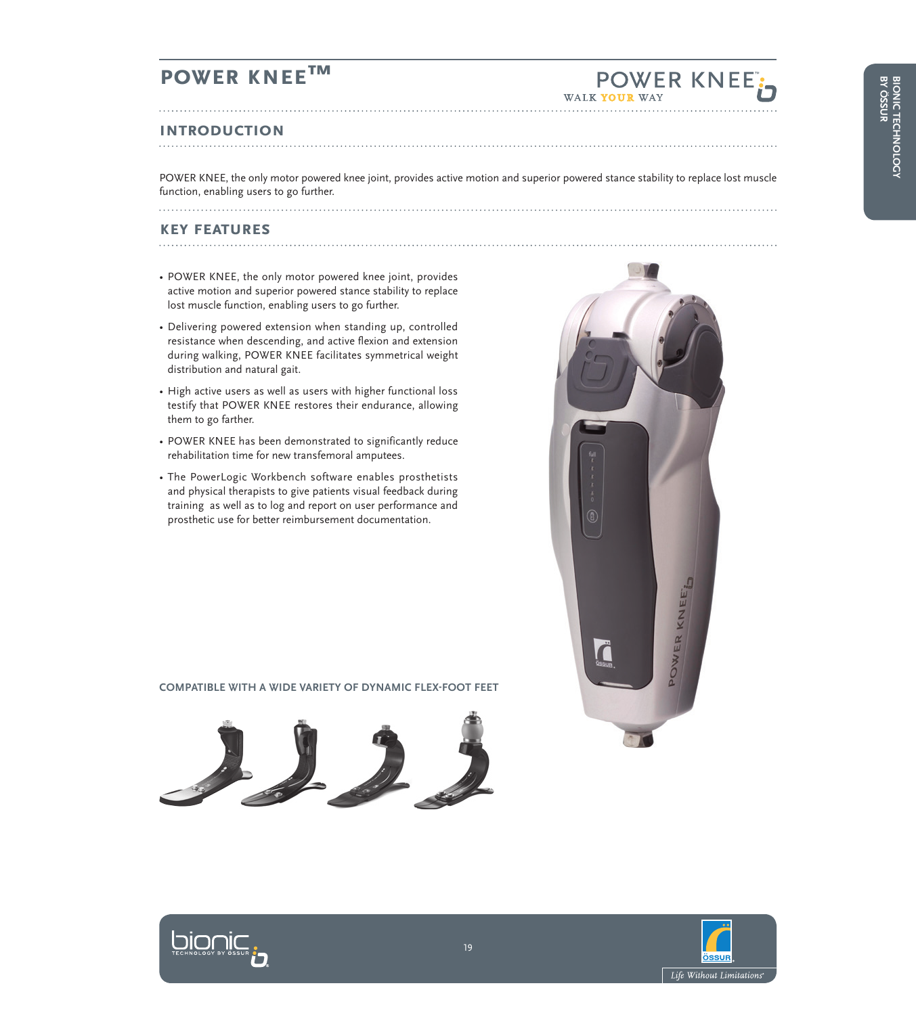### **POWER KNEE™**

### **Introduction**

POWER KNEE, the only motor powered knee joint, provides active motion and superior powered stance stability to replace lost muscle function, enabling users to go further. 

### **key features**

- 
- POWER KNEE, the only motor powered knee joint, provides active motion and superior powered stance stability to replace lost muscle function, enabling users to go further.

- Delivering powered extension when standing up, controlled resistance when descending, and active flexion and extension during walking, POWER KNEE facilitates symmetrical weight distribution and natural gait.
- High active users as well as users with higher functional loss testify that POWER KNEE restores their endurance, allowing them to go farther.
- POWER KNEE has been demonstrated to significantly reduce rehabilitation time for new transfemoral amputees.
- The PowerLogic Workbench software enables prosthetists and physical therapists to give patients visual feedback during training as well as to log and report on user performance and prosthetic use for better reimbursement documentation.

#### **COMPATIBLE WITH A WIDE VARIETY OF DYNAMIC FLEX-FOOT FEET**





**POWER KNEE** 



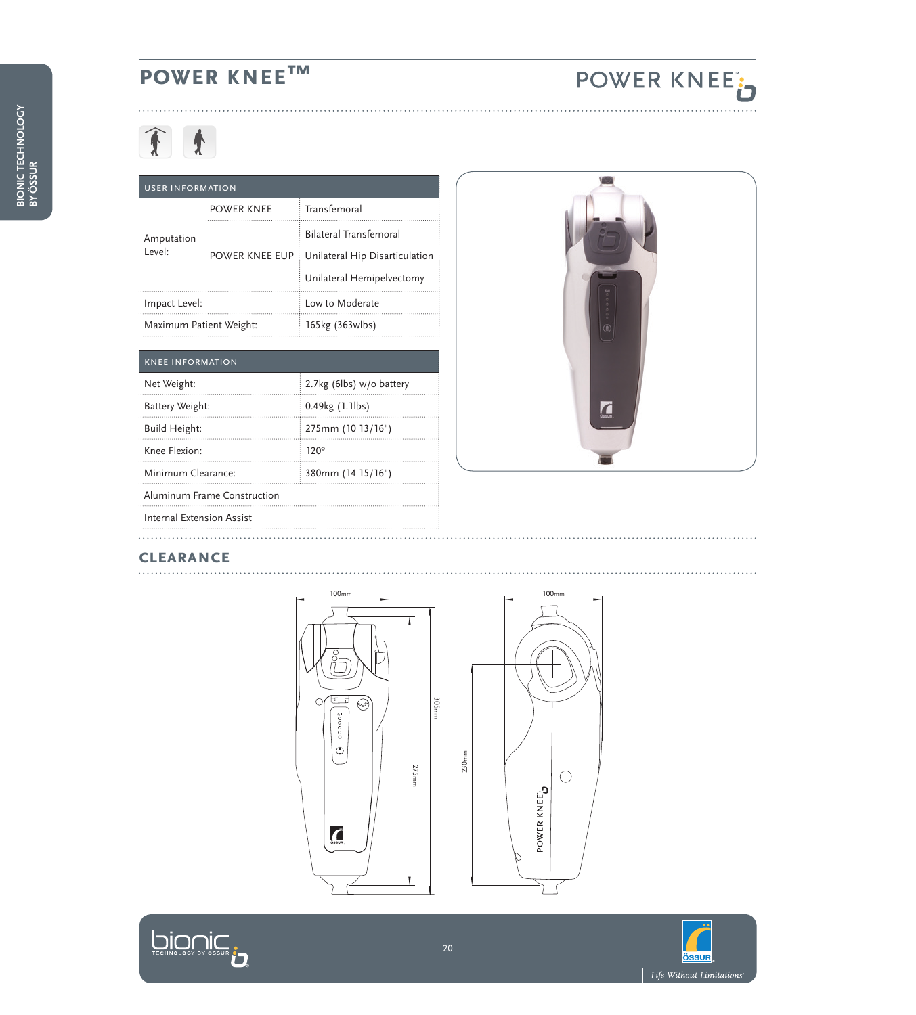# **power knee™**

# **Tt**

#### User information

| Amputation<br>Level:    | <b>POWER KNEE</b> | Transfemoral                   |
|-------------------------|-------------------|--------------------------------|
|                         | POWER KNEE EUP    | <b>Bilateral Transfemoral</b>  |
|                         |                   | Unilateral Hip Disarticulation |
|                         |                   | Unilateral Hemipelvectomy      |
| Impact Level:           |                   | Low to Moderate                |
| Maximum Patient Weight: |                   | 165kg (363wlbs)                |

| <b>KNEE INFORMATION</b>     |                          |  |
|-----------------------------|--------------------------|--|
| Net Weight:                 | 2.7kg (6lbs) w/o battery |  |
| Battery Weight:             | 0.49kg (1.1lbs)          |  |
| Build Height:               | 275mm (10 13/16")        |  |
| Knee Flexion:               | $120^\circ$              |  |
| Minimum Clearance:          | 380mm (14 15/16")        |  |
| Aluminum Frame Construction |                          |  |
| Internal Extension Assist   |                          |  |



POWER KNEE<sup>t</sup>

# **clearance**